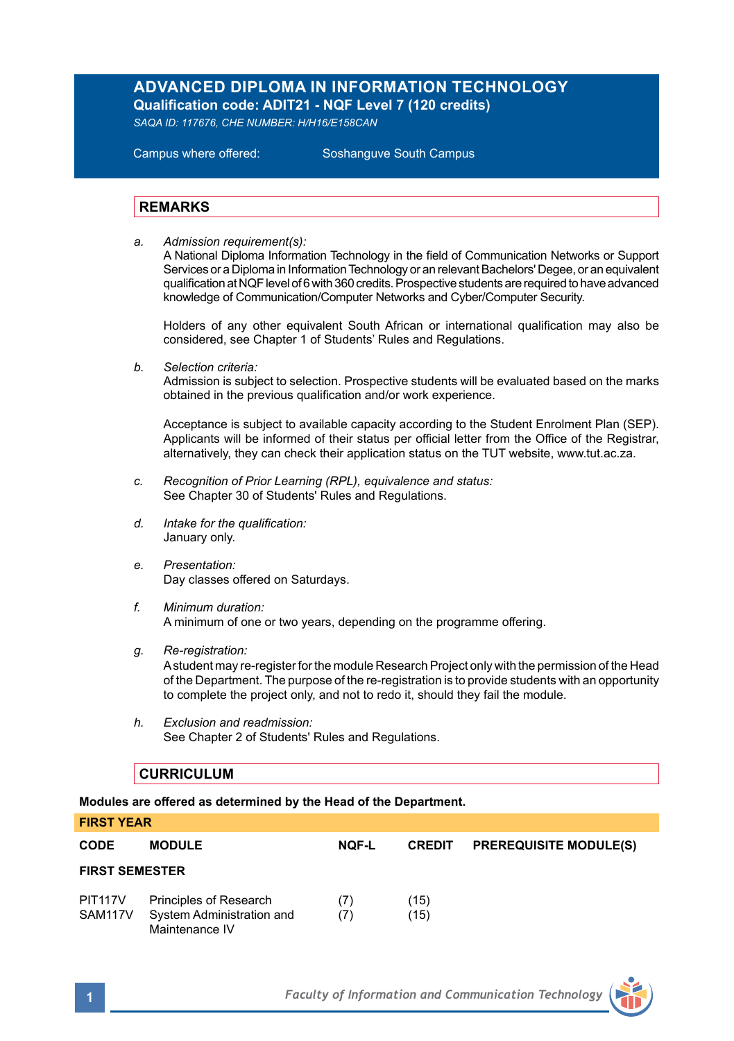# **ADVANCED DIPLOMA IN INFORMATION TECHNOLOGY Qualification code: ADIT21 - NQF Level 7 (120 credits)**

*SAQA ID: 117676, CHE NUMBER: H/H16/E158CAN* 

**Campus where offered:** 

Soshanguve South Campus

## **REMARKS**

*a. Admission requirement(s):* 

A National Diploma Information Technology in the field of Communication Networks or Support Services or a Diploma in Information Technology or an relevant Bachelors' Degee, or an equivalent qualification at NQF level of 6 with 360 credits. Prospective students are required to have advanced knowledge of Communication/Computer Networks and Cyber/Computer Security.

Holders of any other equivalent South African or international qualification may also be considered, see Chapter 1 of Students' Rules and Regulations.

*b. Selection criteria:*

Admission is subject to selection. Prospective students will be evaluated based on the marks obtained in the previous qualification and/or work experience.

Acceptance is subject to available capacity according to the Student Enrolment Plan (SEP). Applicants will be informed of their status per official letter from the Office of the Registrar, alternatively, they can check their application status on the TUT website, www.tut.ac.za.

- *c. Recognition of Prior Learning (RPL), equivalence and status:* See Chapter 30 of Students' Rules and Regulations.
- *d. Intake for the qualification:* January only.
- *e. Presentation:* Day classes offered on Saturdays.
- *f. Minimum duration:* A minimum of one or two years, depending on the programme offering.
- *g. Re-registration:*

A student may re-register for the module Research Project only with the permission of the Head of the Department. The purpose of the re-registration is to provide students with an opportunity to complete the project only, and not to redo it, should they fail the module.

*h. Exclusion and readmission:* See Chapter 2 of Students' Rules and Regulations.

### **CURRICULUM**

**Modules are offered as determined by the Head of the Department.**

| <b>FIRST YEAR</b>     |                                                                       |              |               |                               |  |  |
|-----------------------|-----------------------------------------------------------------------|--------------|---------------|-------------------------------|--|--|
| <b>CODE</b>           | <b>MODULE</b>                                                         | <b>NOF-L</b> | <b>CREDIT</b> | <b>PREREQUISITE MODULE(S)</b> |  |  |
| <b>FIRST SEMESTER</b> |                                                                       |              |               |                               |  |  |
| PIT117V<br>SAM117V    | Principles of Research<br>System Administration and<br>Maintenance IV | (7)<br>(7)   | (15)<br>(15)  |                               |  |  |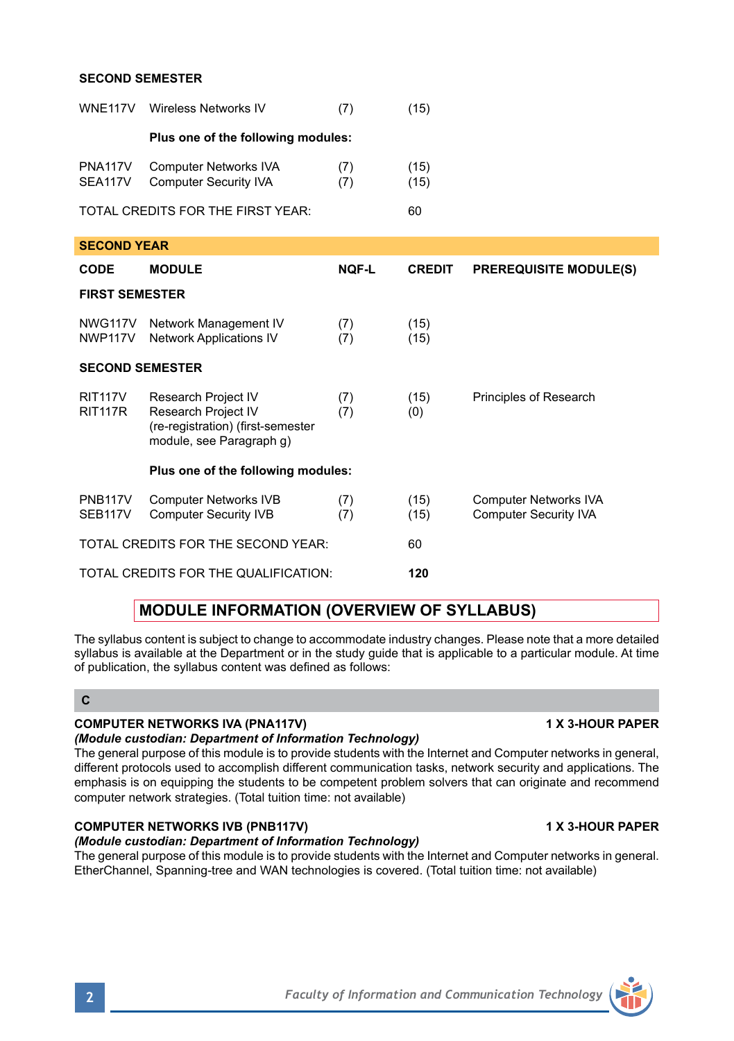### **SECOND SEMESTER**

| <b>WNE117V</b>                        | Wireless Networks IV                                                                                        | (7)          | (15)          |                                                              |  |  |  |  |
|---------------------------------------|-------------------------------------------------------------------------------------------------------------|--------------|---------------|--------------------------------------------------------------|--|--|--|--|
| Plus one of the following modules:    |                                                                                                             |              |               |                                                              |  |  |  |  |
| PNA117V<br>SEA117V                    | <b>Computer Networks IVA</b><br><b>Computer Security IVA</b>                                                | (7)<br>(7)   | (15)<br>(15)  |                                                              |  |  |  |  |
|                                       | TOTAL CREDITS FOR THE FIRST YEAR:                                                                           | 60           |               |                                                              |  |  |  |  |
| <b>SECOND YEAR</b>                    |                                                                                                             |              |               |                                                              |  |  |  |  |
| <b>CODE</b>                           | <b>MODULE</b>                                                                                               | <b>NOF-L</b> | <b>CREDIT</b> | <b>PREREQUISITE MODULE(S)</b>                                |  |  |  |  |
| <b>FIRST SEMESTER</b>                 |                                                                                                             |              |               |                                                              |  |  |  |  |
| NWG117V<br>NWP117V                    | Network Management IV<br><b>Network Applications IV</b>                                                     | (7)<br>(7)   | (15)<br>(15)  |                                                              |  |  |  |  |
| <b>SECOND SEMESTER</b>                |                                                                                                             |              |               |                                                              |  |  |  |  |
| <b>RIT117V</b><br><b>RIT117R</b>      | Research Project IV<br>Research Project IV<br>(re-registration) (first-semester<br>module, see Paragraph q) | (7)<br>(7)   | (15)<br>(0)   | Principles of Research                                       |  |  |  |  |
|                                       | Plus one of the following modules:                                                                          |              |               |                                                              |  |  |  |  |
| <b>PNB117V</b><br>SEB <sub>117V</sub> | <b>Computer Networks IVB</b><br><b>Computer Security IVB</b>                                                | (7)<br>(7)   | (15)<br>(15)  | <b>Computer Networks IVA</b><br><b>Computer Security IVA</b> |  |  |  |  |
|                                       | TOTAL CREDITS FOR THE SECOND YEAR:                                                                          | 60           |               |                                                              |  |  |  |  |
|                                       | TOTAL CREDITS FOR THE QUALIFICATION:                                                                        | 120          |               |                                                              |  |  |  |  |

# **MODULE INFORMATION (OVERVIEW OF SYLLABUS)**

The syllabus content is subject to change to accommodate industry changes. Please note that a more detailed syllabus is available at the Department or in the study guide that is applicable to a particular module. At time of publication, the syllabus content was defined as follows:

## **C**

## **COMPUTER NETWORKS IVA (PNA117V) 1 X 3-HOUR PAPER**

## *(Module custodian: Department of Information Technology)*

The general purpose of this module is to provide students with the Internet and Computer networks in general, different protocols used to accomplish different communication tasks, network security and applications. The emphasis is on equipping the students to be competent problem solvers that can originate and recommend computer network strategies. (Total tuition time: not available)

# **COMPUTER NETWORKS IVB (PNB117V) 1 X 3-HOUR PAPER**

*(Module custodian: Department of Information Technology)* The general purpose of this module is to provide students with the Internet and Computer networks in general. EtherChannel, Spanning-tree and WAN technologies is covered. (Total tuition time: not available)